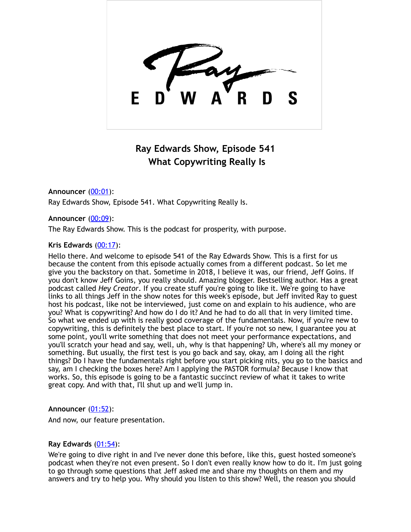

# **Ray Edwards Show, Episode 541 What Copywriting Really Is**

# **Announcer** [\(00:01](https://www.temi.com/editor/t/qCHl8lIwIDCMbYo8Evx23EA2V5yLaQxkU-UwpH2AH6LSRdjEKXWo4uHajCxRcPtIlOg1TkY-zfabtuizC3lLdgJ-Zi8?loadFrom=DocumentDeeplink&ts=1.02)):

Ray Edwards Show, Episode 541. What Copywriting Really Is.

## **Announcer** [\(00:09](https://www.temi.com/editor/t/qCHl8lIwIDCMbYo8Evx23EA2V5yLaQxkU-UwpH2AH6LSRdjEKXWo4uHajCxRcPtIlOg1TkY-zfabtuizC3lLdgJ-Zi8?loadFrom=DocumentDeeplink&ts=9.63)):

The Ray Edwards Show. This is the podcast for prosperity, with purpose.

## **Kris Edwards** [\(00:17](https://www.temi.com/editor/t/qCHl8lIwIDCMbYo8Evx23EA2V5yLaQxkU-UwpH2AH6LSRdjEKXWo4uHajCxRcPtIlOg1TkY-zfabtuizC3lLdgJ-Zi8?loadFrom=DocumentDeeplink&ts=17.79)):

Hello there. And welcome to episode 541 of the Ray Edwards Show. This is a first for us because the content from this episode actually comes from a different podcast. So let me give you the backstory on that. Sometime in 2018, I believe it was, our friend, Jeff Goins. If you don't know Jeff Goins, you really should. Amazing blogger. Bestselling author. Has a great podcast called *Hey Creator*. If you create stuff you're going to like it. We're going to have links to all things Jeff in the show notes for this week's episode, but Jeff invited Ray to guest host his podcast, like not be interviewed, just come on and explain to his audience, who are you? What is copywriting? And how do I do it? And he had to do all that in very limited time. So what we ended up with is really good coverage of the fundamentals. Now, if you're new to copywriting, this is definitely the best place to start. If you're not so new, I guarantee you at some point, you'll write something that does not meet your performance expectations, and you'll scratch your head and say, well, uh, why is that happening? Uh, where's all my money or something. But usually, the first test is you go back and say, okay, am I doing all the right things? Do I have the fundamentals right before you start picking nits, you go to the basics and say, am I checking the boxes here? Am I applying the PASTOR formula? Because I know that works. So, this episode is going to be a fantastic succinct review of what it takes to write great copy. And with that, I'll shut up and we'll jump in.

## **Announcer** [\(01:52](https://www.temi.com/editor/t/qCHl8lIwIDCMbYo8Evx23EA2V5yLaQxkU-UwpH2AH6LSRdjEKXWo4uHajCxRcPtIlOg1TkY-zfabtuizC3lLdgJ-Zi8?loadFrom=DocumentDeeplink&ts=112.11)):

And now, our feature presentation.

## **Ray Edwards** [\(01:54](https://www.temi.com/editor/t/qCHl8lIwIDCMbYo8Evx23EA2V5yLaQxkU-UwpH2AH6LSRdjEKXWo4uHajCxRcPtIlOg1TkY-zfabtuizC3lLdgJ-Zi8?loadFrom=DocumentDeeplink&ts=114.03)):

We're going to dive right in and I've never done this before, like this, guest hosted someone's podcast when they're not even present. So I don't even really know how to do it. I'm just going to go through some questions that Jeff asked me and share my thoughts on them and my answers and try to help you. Why should you listen to this show? Well, the reason you should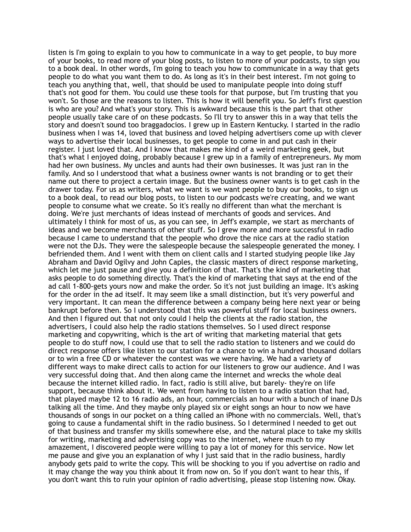listen is I'm going to explain to you how to communicate in a way to get people, to buy more of your books, to read more of your blog posts, to listen to more of your podcasts, to sign you to a book deal. In other words, I'm going to teach you how to communicate in a way that gets people to do what you want them to do. As long as it's in their best interest. I'm not going to teach you anything that, well, that should be used to manipulate people into doing stuff that's not good for them. You could use these tools for that purpose, but I'm trusting that you won't. So those are the reasons to listen. This is how it will benefit you. So Jeff's first question is who are you? And what's your story. This is awkward because this is the part that other people usually take care of on these podcasts. So I'll try to answer this in a way that tells the story and doesn't sound too braggadocios. I grew up in Eastern Kentucky. I started in the radio business when I was 14, loved that business and loved helping advertisers come up with clever ways to advertise their local businesses, to get people to come in and put cash in their register. I just loved that. And I know that makes me kind of a weird marketing geek, but that's what I enjoyed doing, probably because I grew up in a family of entrepreneurs. My mom had her own business. My uncles and aunts had their own businesses. It was just ran in the family. And so I understood that what a business owner wants is not branding or to get their name out there to project a certain image. But the business owner wants is to get cash in the drawer today. For us as writers, what we want is we want people to buy our books, to sign us to a book deal, to read our blog posts, to listen to our podcasts we're creating, and we want people to consume what we create. So it's really no different than what the merchant is doing. We're just merchants of ideas instead of merchants of goods and services. And ultimately I think for most of us, as you can see, in Jeff's example, we start as merchants of ideas and we become merchants of other stuff. So I grew more and more successful in radio because I came to understand that the people who drove the nice cars at the radio station were not the DJs. They were the salespeople because the salespeople generated the money. I befriended them. And I went with them on client calls and I started studying people like Jay Abraham and David Ogilvy and John Caples, the classic masters of direct response marketing, which let me just pause and give you a definition of that. That's the kind of marketing that asks people to do something directly. That's the kind of marketing that says at the end of the ad call 1-800-gets yours now and make the order. So it's not just building an image. It's asking for the order in the ad itself. It may seem like a small distinction, but it's very powerful and very important. It can mean the difference between a company being here next year or being bankrupt before then. So I understood that this was powerful stuff for local business owners. And then I figured out that not only could I help the clients at the radio station, the advertisers, I could also help the radio stations themselves. So I used direct response marketing and copywriting, which is the art of writing that marketing material that gets people to do stuff now, I could use that to sell the radio station to listeners and we could do direct response offers like listen to our station for a chance to win a hundred thousand dollars or to win a free CD or whatever the contest was we were having. We had a variety of different ways to make direct calls to action for our listeners to grow our audience. And I was very successful doing that. And then along came the internet and wrecks the whole deal because the internet killed radio. In fact, radio is still alive, but barely- they're on life support, because think about it. We went from having to listen to a radio station that had, that played maybe 12 to 16 radio ads, an hour, commercials an hour with a bunch of inane DJs talking all the time. And they maybe only played six or eight songs an hour to now we have thousands of songs in our pocket on a thing called an iPhone with no commercials. Well, that's going to cause a fundamental shift in the radio business. So I determined I needed to get out of that business and transfer my skills somewhere else, and the natural place to take my skills for writing, marketing and advertising copy was to the internet, where much to my amazement, I discovered people were willing to pay a lot of money for this service. Now let me pause and give you an explanation of why I just said that in the radio business, hardly anybody gets paid to write the copy. This will be shocking to you if you advertise on radio and it may change the way you think about it from now on. So if you don't want to hear this, if you don't want this to ruin your opinion of radio advertising, please stop listening now. Okay.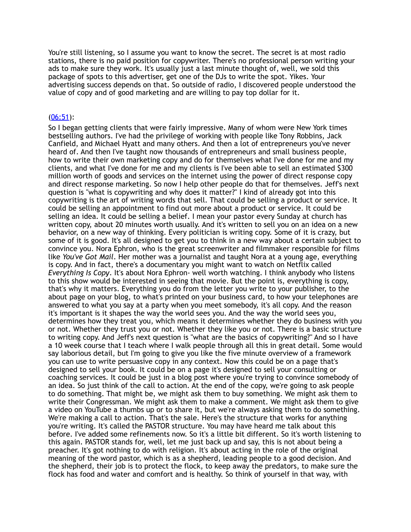You're still listening, so I assume you want to know the secret. The secret is at most radio stations, there is no paid position for copywriter. There's no professional person writing your ads to make sure they work. It's usually just a last minute thought of, well, we sold this package of spots to this advertiser, get one of the DJs to write the spot. Yikes. Your advertising success depends on that. So outside of radio, I discovered people understood the value of copy and of good marketing and are willing to pay top dollar for it.

#### [\(06:51](https://www.temi.com/editor/t/qCHl8lIwIDCMbYo8Evx23EA2V5yLaQxkU-UwpH2AH6LSRdjEKXWo4uHajCxRcPtIlOg1TkY-zfabtuizC3lLdgJ-Zi8?loadFrom=DocumentDeeplink&ts=411.29)):

So I began getting clients that were fairly impressive. Many of whom were New York times bestselling authors. I've had the privilege of working with people like Tony Robbins, Jack Canfield, and Michael Hyatt and many others. And then a lot of entrepreneurs you've never heard of. And then I've taught now thousands of entrepreneurs and small business people, how to write their own marketing copy and do for themselves what I've done for me and my clients, and what I've done for me and my clients is I've been able to sell an estimated \$300 million worth of goods and services on the internet using the power of direct response copy and direct response marketing. So now I help other people do that for themselves. Jeff's next question is "what is copywriting and why does it matter?" I kind of already got into this copywriting is the art of writing words that sell. That could be selling a product or service. It could be selling an appointment to find out more about a product or service. It could be selling an idea. It could be selling a belief. I mean your pastor every Sunday at church has written copy, about 20 minutes worth usually. And it's written to sell you on an idea on a new behavior, on a new way of thinking. Every politician is writing copy. Some of it is crazy, but some of it is good. It's all designed to get you to think in a new way about a certain subject to convince you. Nora Ephron, who is the great screenwriter and filmmaker responsible for films like *You've Got Mail*. Her mother was a journalist and taught Nora at a young age, everything is copy. And in fact, there's a documentary you might want to watch on Netflix called *Everything Is Copy*. It's about Nora Ephron- well worth watching. I think anybody who listens to this show would be interested in seeing that movie. But the point is, everything is copy, that's why it matters. Everything you do from the letter you write to your publisher, to the about page on your blog, to what's printed on your business card, to how your telephones are answered to what you say at a party when you meet somebody, it's all copy. And the reason it's important is it shapes the way the world sees you. And the way the world sees you, determines how they treat you, which means it determines whether they do business with you or not. Whether they trust you or not. Whether they like you or not. There is a basic structure to writing copy. And Jeff's next question is "what are the basics of copywriting?" And so I have a 10 week course that I teach where I walk people through all this in great detail. Some would say laborious detail, but I'm going to give you like the five minute overview of a framework you can use to write persuasive copy in any context. Now this could be on a page that's designed to sell your book. It could be on a page it's designed to sell your consulting or coaching services. It could be just in a blog post where you're trying to convince somebody of an idea. So just think of the call to action. At the end of the copy, we're going to ask people to do something. That might be, we might ask them to buy something. We might ask them to write their Congressman. We might ask them to make a comment. We might ask them to give a video on YouTube a thumbs up or to share it, but we're always asking them to do something. We're making a call to action. That's the sale. Here's the structure that works for anything you're writing. It's called the PASTOR structure. You may have heard me talk about this before. I've added some refinements now. So it's a little bit different. So it's worth listening to this again. PASTOR stands for, well, let me just back up and say, this is not about being a preacher. It's got nothing to do with religion. It's about acting in the role of the original meaning of the word pastor, which is as a shepherd, leading people to a good decision. And the shepherd, their job is to protect the flock, to keep away the predators, to make sure the flock has food and water and comfort and is healthy. So think of yourself in that way, with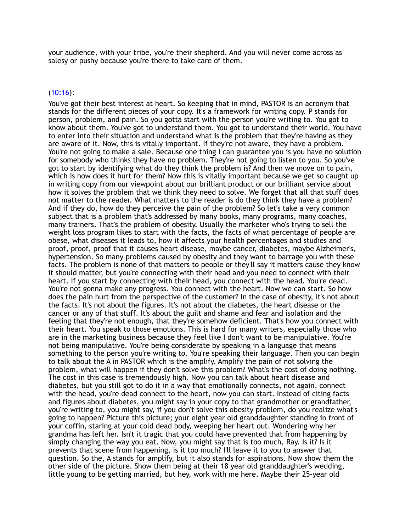your audience, with your tribe, you're their shepherd. And you will never come across as salesy or pushy because you're there to take care of them.

#### [\(10:16](https://www.temi.com/editor/t/qCHl8lIwIDCMbYo8Evx23EA2V5yLaQxkU-UwpH2AH6LSRdjEKXWo4uHajCxRcPtIlOg1TkY-zfabtuizC3lLdgJ-Zi8?loadFrom=DocumentDeeplink&ts=616.83)):

You've got their best interest at heart. So keeping that in mind, PASTOR is an acronym that stands for the different pieces of your copy. It's a framework for writing copy. P stands for person, problem, and pain. So you gotta start with the person you're writing to. You got to know about them. You've got to understand them. You got to understand their world. You have to enter into their situation and understand what is the problem that they're having as they are aware of it. Now, this is vitally important. If they're not aware, they have a problem. You're not going to make a sale. Because one thing I can guarantee you is you have no solution for somebody who thinks they have no problem. They're not going to listen to you. So you've got to start by identifying what do they think the problem is? And then we move on to pain, which is how does it hurt for them? Now this is vitally important because we get so caught up in writing copy from our viewpoint about our brilliant product or our brilliant service about how it solves the problem that we think they need to solve. We forget that all that stuff does not matter to the reader. What matters to the reader is do they think they have a problem? And if they do, how do they perceive the pain of the problem? So let's take a very common subject that is a problem that's addressed by many books, many programs, many coaches, many trainers. That's the problem of obesity. Usually the marketer who's trying to sell the weight loss program likes to start with the facts, the facts of what percentage of people are obese, what diseases it leads to, how it affects your health percentages and studies and proof, proof, proof that it causes heart disease, maybe cancer, diabetes, maybe Alzheimer's, hypertension. So many problems caused by obesity and they want to barrage you with these facts. The problem is none of that matters to people or they'll say it matters cause they know it should matter, but you're connecting with their head and you need to connect with their heart. If you start by connecting with their head, you connect with the head. You're dead. You're not gonna make any progress. You connect with the heart. Now we can start. So how does the pain hurt from the perspective of the customer? In the case of obesity, it's not about the facts. It's not about the figures. It's not about the diabetes, the heart disease or the cancer or any of that stuff. It's about the guilt and shame and fear and isolation and the feeling that they're not enough, that they're somehow deficient. That's how you connect with their heart. You speak to those emotions. This is hard for many writers, especially those who are in the marketing business because they feel like I don't want to be manipulative. You're not being manipulative. You're being considerate by speaking in a language that means something to the person you're writing to. You're speaking their language. Then you can begin to talk about the A in PASTOR which is the amplify. Amplify the pain of not solving the problem, what will happen if they don't solve this problem? What's the cost of doing nothing. The cost in this case is tremendously high. Now you can talk about heart disease and diabetes, but you still got to do it in a way that emotionally connects, not again, connect with the head, you're dead connect to the heart, now you can start. Instead of citing facts and figures about diabetes, you might say in your copy to that grandmother or grandfather, you're writing to, you might say, if you don't solve this obesity problem, do you realize what's going to happen? Picture this picture; your eight year old granddaughter standing in front of your coffin, staring at your cold dead body, weeping her heart out. Wondering why her grandma has left her. Isn't it tragic that you could have prevented that from happening by simply changing the way you eat. Now, you might say that is too much, Ray. Is it? Is it prevents that scene from happening, is it too much? I'll leave it to you to answer that question. So the, A stands for amplify, but it also stands for aspirations. Now show them the other side of the picture. Show them being at their 18 year old granddaughter's wedding, little young to be getting married, but hey, work with me here. Maybe their 25-year old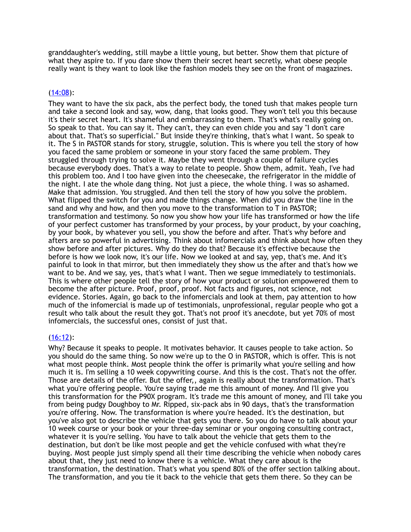granddaughter's wedding, still maybe a little young, but better. Show them that picture of what they aspire to. If you dare show them their secret heart secretly, what obese people really want is they want to look like the fashion models they see on the front of magazines.

## [\(14:08](https://www.temi.com/editor/t/qCHl8lIwIDCMbYo8Evx23EA2V5yLaQxkU-UwpH2AH6LSRdjEKXWo4uHajCxRcPtIlOg1TkY-zfabtuizC3lLdgJ-Zi8?loadFrom=DocumentDeeplink&ts=848.14)):

They want to have the six pack, abs the perfect body, the toned tush that makes people turn and take a second look and say, wow, dang, that looks good. They won't tell you this because it's their secret heart. It's shameful and embarrassing to them. That's what's really going on. So speak to that. You can say it. They can't, they can even chide you and say "I don't care about that. That's so superficial." But inside they're thinking, that's what I want. So speak to it. The S in PASTOR stands for story, struggle, solution. This is where you tell the story of how you faced the same problem or someone in your story faced the same problem. They struggled through trying to solve it. Maybe they went through a couple of failure cycles because everybody does. That's a way to relate to people. Show them, admit. Yeah, I've had this problem too. And I too have given into the cheesecake, the refrigerator in the middle of the night. I ate the whole dang thing. Not just a piece, the whole thing. I was so ashamed. Make that admission. You struggled. And then tell the story of how you solve the problem. What flipped the switch for you and made things change. When did you draw the line in the sand and why and how, and then you move to the transformation to T in PASTOR; transformation and testimony. So now you show how your life has transformed or how the life of your perfect customer has transformed by your process, by your product, by your coaching, by your book, by whatever you sell, you show the before and after. That's why before and afters are so powerful in advertising. Think about infomercials and think about how often they show before and after pictures. Why do they do that? Because it's effective because the before is how we look now, it's our life. Now we looked at and say, yep, that's me. And it's painful to look in that mirror, but then immediately they show us the after and that's how we want to be. And we say, yes, that's what I want. Then we segue immediately to testimonials. This is where other people tell the story of how your product or solution empowered them to become the after picture. Proof, proof, proof. Not facts and figures, not science, not evidence. Stories. Again, go back to the infomercials and look at them, pay attention to how much of the infomercial is made up of testimonials, unprofessional, regular people who got a result who talk about the result they got. That's not proof it's anecdote, but yet 70% of most infomercials, the successful ones, consist of just that.

## $(16:12)$  $(16:12)$ :

Why? Because it speaks to people. It motivates behavior. It causes people to take action. So you should do the same thing. So now we're up to the O in PASTOR, which is offer. This is not what most people think. Most people think the offer is primarily what you're selling and how much it is. I'm selling a 10 week copywriting course. And this is the cost. That's not the offer. Those are details of the offer. But the offer,, again is really about the transformation. That's what you're offering people. You're saying trade me this amount of money. And I'll give you this transformation for the P90X program. It's trade me this amount of money, and I'll take you from being pudgy Doughboy to Mr. Ripped, six-pack abs in 90 days, that's the transformation you're offering. Now. The transformation is where you're headed. It's the destination, but you've also got to describe the vehicle that gets you there. So you do have to talk about your 10 week course or your book or your three-day seminar or your ongoing consulting contract, whatever it is you're selling. You have to talk about the vehicle that gets them to the destination, but don't be like most people and get the vehicle confused with what they're buying. Most people just simply spend all their time describing the vehicle when nobody cares about that, they just need to know there is a vehicle. What they care about is the transformation, the destination. That's what you spend 80% of the offer section talking about. The transformation, and you tie it back to the vehicle that gets them there. So they can be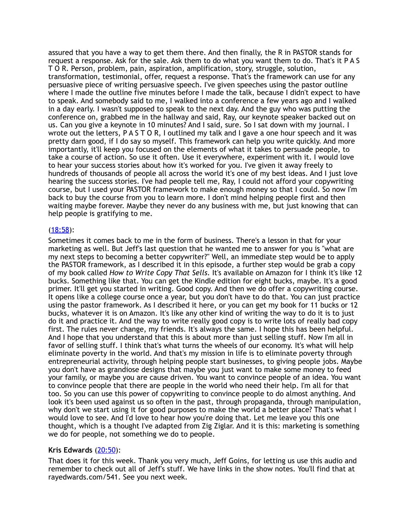assured that you have a way to get them there. And then finally, the R in PASTOR stands for request a response. Ask for the sale. Ask them to do what you want them to do. That's it P A S T O R. Person, problem, pain, aspiration, amplification, story, struggle, solution, transformation, testimonial, offer, request a response. That's the framework can use for any persuasive piece of writing persuasive speech. I've given speeches using the pastor outline where I made the outline five minutes before I made the talk, because I didn't expect to have to speak. And somebody said to me, I walked into a conference a few years ago and I walked in a day early. I wasn't supposed to speak to the next day. And the guy who was putting the conference on, grabbed me in the hallway and said, Ray, our keynote speaker backed out on us. Can you give a keynote in 10 minutes? And I said, sure. So I sat down with my journal. I wrote out the letters, P A S T O R, I outlined my talk and I gave a one hour speech and it was pretty darn good, if I do say so myself. This framework can help you write quickly. And more importantly, it'll keep you focused on the elements of what it takes to persuade people, to take a course of action. So use it often. Use it everywhere, experiment with it. I would love to hear your success stories about how it's worked for you. I've given it away freely to hundreds of thousands of people all across the world it's one of my best ideas. And I just love hearing the success stories. I've had people tell me, Ray, I could not afford your copywriting course, but I used your PASTOR framework to make enough money so that I could. So now I'm back to buy the course from you to learn more. I don't mind helping people first and then waiting maybe forever. Maybe they never do any business with me, but just knowing that can help people is gratifying to me.

#### [\(18:58](https://www.temi.com/editor/t/qCHl8lIwIDCMbYo8Evx23EA2V5yLaQxkU-UwpH2AH6LSRdjEKXWo4uHajCxRcPtIlOg1TkY-zfabtuizC3lLdgJ-Zi8?loadFrom=DocumentDeeplink&ts=1138.95)):

Sometimes it comes back to me in the form of business. There's a lesson in that for your marketing as well. But Jeff's last question that he wanted me to answer for you is "what are my next steps to becoming a better copywriter?" Well, an immediate step would be to apply the PASTOR framework, as I described it in this episode, a further step would be grab a copy of my book called *How to Write Copy That Sells*. It's available on Amazon for I think it's like 12 bucks. Something like that. You can get the Kindle edition for eight bucks, maybe. It's a good primer. It'll get you started in writing. Good copy. And then we do offer a copywriting course. It opens like a college course once a year, but you don't have to do that. You can just practice using the pastor framework. As I described it here, or you can get my book for 11 bucks or 12 bucks, whatever it is on Amazon. It's like any other kind of writing the way to do it is to just do it and practice it. And the way to write really good copy is to write lots of really bad copy first. The rules never change, my friends. It's always the same. I hope this has been helpful. And I hope that you understand that this is about more than just selling stuff. Now I'm all in favor of selling stuff. I think that's what turns the wheels of our economy. It's what will help eliminate poverty in the world. And that's my mission in life is to eliminate poverty through entrepreneurial activity, through helping people start businesses, to giving people jobs. Maybe you don't have as grandiose designs that maybe you just want to make some money to feed your family, or maybe you are cause driven. You want to convince people of an idea. You want to convince people that there are people in the world who need their help. I'm all for that too. So you can use this power of copywriting to convince people to do almost anything. And look it's been used against us so often in the past, through propaganda, through manipulation, why don't we start using it for good purposes to make the world a better place? That's what I would love to see. And I'd love to hear how you're doing that. Let me leave you this one thought, which is a thought I've adapted from Zig Ziglar. And it is this: marketing is something we do for people, not something we do to people.

## Kris Edwards [\(20:50](https://www.temi.com/editor/t/qCHl8lIwIDCMbYo8Evx23EA2V5yLaQxkU-UwpH2AH6LSRdjEKXWo4uHajCxRcPtIlOg1TkY-zfabtuizC3lLdgJ-Zi8?loadFrom=DocumentDeeplink&ts=1250.05)):

That does it for this week. Thank you very much, Jeff Goins, for letting us use this audio and remember to check out all of Jeff's stuff. We have links in the show notes. You'll find that at rayedwards.com/541. See you next week.